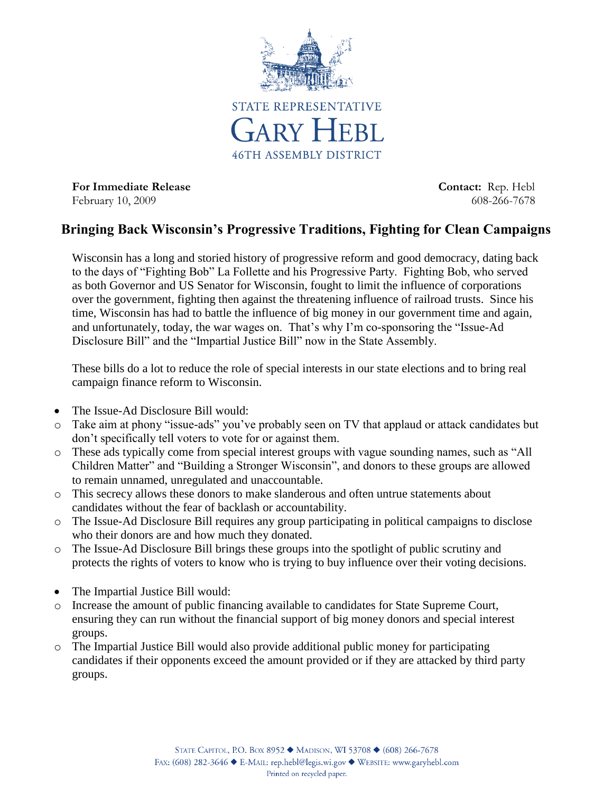

For Immediate Release **Contact:** Rep. Hebl February 10, 2009 608-266-7678

## **Bringing Back Wisconsin's Progressive Traditions, Fighting for Clean Campaigns**

Wisconsin has a long and storied history of progressive reform and good democracy, dating back to the days of "Fighting Bob" La Follette and his Progressive Party. Fighting Bob, who served as both Governor and US Senator for Wisconsin, fought to limit the influence of corporations over the government, fighting then against the threatening influence of railroad trusts. Since his time, Wisconsin has had to battle the influence of big money in our government time and again, and unfortunately, today, the war wages on. That's why I'm co-sponsoring the "Issue-Ad Disclosure Bill" and the "Impartial Justice Bill" now in the State Assembly.

These bills do a lot to reduce the role of special interests in our state elections and to bring real campaign finance reform to Wisconsin.

- The Issue-Ad Disclosure Bill would:
- o Take aim at phony "issue-ads" you've probably seen on TV that applaud or attack candidates but don't specifically tell voters to vote for or against them.
- o These ads typically come from special interest groups with vague sounding names, such as "All Children Matter" and "Building a Stronger Wisconsin", and donors to these groups are allowed to remain unnamed, unregulated and unaccountable.
- o This secrecy allows these donors to make slanderous and often untrue statements about candidates without the fear of backlash or accountability.
- o The Issue-Ad Disclosure Bill requires any group participating in political campaigns to disclose who their donors are and how much they donated.
- o The Issue-Ad Disclosure Bill brings these groups into the spotlight of public scrutiny and protects the rights of voters to know who is trying to buy influence over their voting decisions.
- The Impartial Justice Bill would:
- o Increase the amount of public financing available to candidates for State Supreme Court, ensuring they can run without the financial support of big money donors and special interest groups.
- o The Impartial Justice Bill would also provide additional public money for participating candidates if their opponents exceed the amount provided or if they are attacked by third party groups.